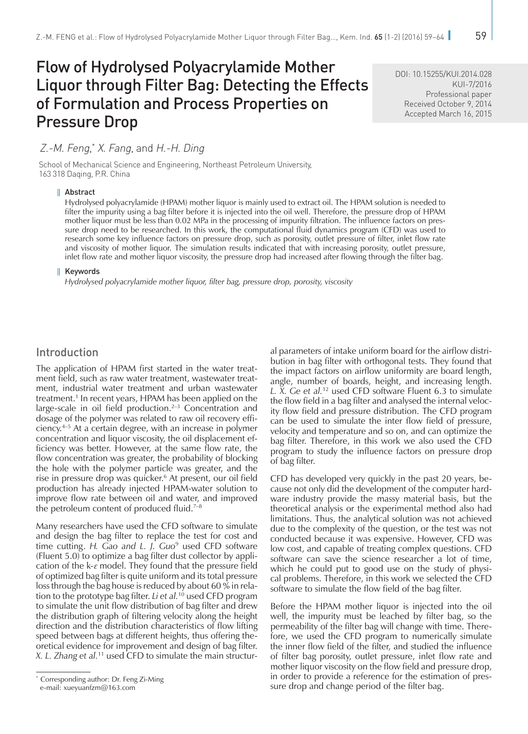# Flow of Hydrolysed Polyacrylamide Mother Liquor through Filter Bag: Detecting the Effects of Formulation and Process Properties on Pressure Drop

DOI: [10.15255/KUI.2014.028](http://dx.doi.org/10.15255/KUI.2014.028) KUI-7/2016 Professional paper Received October 9, 2014 Accepted March 16, 2015

# Z.-M. Feng, \* X. Fang, and H.-H. Ding

School of Mechanical Science and Engineering, Northeast Petroleum University, 163 318 Daqing, P.R. China

#### Abstract

Hydrolysed polyacrylamide (HPAM) mother liquor is mainly used to extract oil. The HPAM solution is needed to filter the impurity using a bag filter before it is injected into the oil well. Therefore, the pressure drop of HPAM mother liquor must be less than 0.02 MPa in the processing of impurity filtration. The influence factors on pressure drop need to be researched. In this work, the computational fluid dynamics program (CFD) was used to research some key influence factors on pressure drop, such as porosity, outlet pressure of filter, inlet flow rate and viscosity of mother liquor. The simulation results indicated that with increasing porosity, outlet pressure, inlet flow rate and mother liquor viscosity, the pressure drop had increased after flowing through the filter bag.

#### **Keywords**

*Hydrolysed polyacrylamide mother liquor, filter bag, pressure drop, porosity, viscosity* 

## Introduction

The application of HPAM first started in the water treatment field, such as raw water treatment, wastewater treatment, industrial water treatment and urban wastewater treatment.<sup>1</sup> In recent years, HPAM has been applied on the large-scale in oil field production.<sup>2–3</sup> Concentration and dosage of the polymer was related to raw oil recovery efficiency.4–5 At a certain degree, with an increase in polymer concentration and liquor viscosity, the oil displacement efficiency was better. However, at the same flow rate, the flow concentration was greater, the probability of blocking the hole with the polymer particle was greater, and the rise in pressure drop was quicker.<sup>6</sup> At present, our oil field production has already injected HPAM-water solution to improve flow rate between oil and water, and improved the petroleum content of produced fluid. $7-8$ 

Many researchers have used the CFD software to simulate and design the bag filter to replace the test for cost and time cutting. *H. Gao and L. J. Guo*<sup>9</sup> used CFD software (Fluent 5.0) to optimize a bag filter dust collector by application of the k-*ε* model. They found that the pressure field of optimized bag filter is quite uniform and its total pressure loss through the bag house is reduced by about 60 % in relation to the prototype bag filter. *Li et al.*10 used CFD program to simulate the unit flow distribution of bag filter and drew the distribution graph of filtering velocity along the height direction and the distribution characteristics of flow lifting speed between bags at different heights, thus offering theoretical evidence for improvement and design of bag filter. *X. L. Zhang et al.*11 used CFD to simulate the main structural parameters of intake uniform board for the airflow distribution in bag filter with orthogonal tests. They found that the impact factors on airflow uniformity are board length, angle, number of boards, height, and increasing length. *L. X. Ge et al.*<sup>12</sup> used CFD software Fluent 6.3 to simulate the flow field in a bag filter and analysed the internal velocity flow field and pressure distribution. The CFD program can be used to simulate the inter flow field of pressure, velocity and temperature and so on, and can optimize the bag filter. Therefore, in this work we also used the CFD program to study the influence factors on pressure drop of bag filter.

CFD has developed very quickly in the past 20 years, because not only did the development of the computer hardware industry provide the massy material basis, but the theoretical analysis or the experimental method also had limitations. Thus, the analytical solution was not achieved due to the complexity of the question, or the test was not conducted because it was expensive. However, CFD was low cost, and capable of treating complex questions. CFD software can save the science researcher a lot of time, which he could put to good use on the study of physical problems. Therefore, in this work we selected the CFD software to simulate the flow field of the bag filter.

Before the HPAM mother liquor is injected into the oil well, the impurity must be leached by filter bag, so the permeability of the filter bag will change with time. Therefore, we used the CFD program to numerically simulate the inner flow field of the filter, and studied the influence of filter bag porosity, outlet pressure, inlet flow rate and mother liquor viscosity on the flow field and pressure drop, in order to provide a reference for the estimation of pressure drop and change period of the filter bag.

<sup>\*</sup> Corresponding author: Dr. Feng Zi-Ming

e-mail: [xueyuanfzm@163.com](mailto:xueyuanfzm%40163.com?subject=)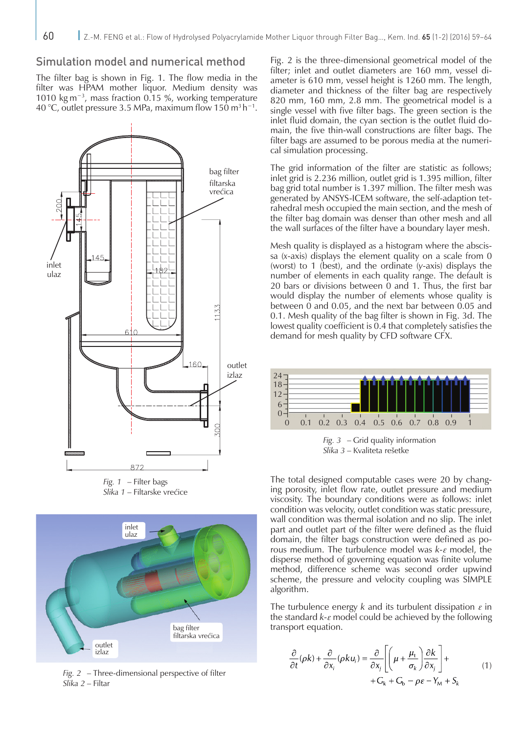# Simulation model and numerical method

The filter bag is shown in Fig. 1. The flow media in the filter was HPAM mother liquor. Medium density was 1010 kg m−3, mass fraction 0.15 %, working temperature 40 °C, outlet pressure 3.5 MPa, maximum flow 150 m3 h−1.



*Fig. 1* – Filter bags *Slika 1* – Filtarske vrećice



*Fig. 2* – Three-dimensional perspective of filter *Slika 2* – Filtar

Fig. 2 is the three-dimensional geometrical model of the filter; inlet and outlet diameters are 160 mm, vessel diameter is 610 mm, vessel height is 1260 mm. The length, diameter and thickness of the filter bag are respectively 820 mm, 160 mm, 2.8 mm. The geometrical model is a single vessel with five filter bags. The green section is the inlet fluid domain, the cyan section is the outlet fluid domain, the five thin-wall constructions are filter bags. The filter bags are assumed to be porous media at the numerical simulation processing.

The grid information of the filter are statistic as follows; inlet grid is 2.236 million, outlet grid is 1.395 million, filter bag grid total number is 1.397 million. The filter mesh was generated by ANSYS-ICEM software, the self-adaption tetrahedral mesh occupied the main section, and the mesh of the filter bag domain was denser than other mesh and all the wall surfaces of the filter have a boundary layer mesh.

Mesh quality is displayed as a histogram where the abscissa (*x*-axis) displays the element quality on a scale from 0 (worst) to 1 (best), and the ordinate (*y*-axis) displays the number of elements in each quality range. The default is 20 bars or divisions between 0 and 1. Thus, the first bar would display the number of elements whose quality is between 0 and 0.05, and the next bar between 0.05 and 0.1. Mesh quality of the bag filter is shown in Fig. 3d. The lowest quality coefficient is 0.4 that completely satisfies the demand for mesh quality by CFD software CFX.



*Fig. 3* – Grid quality information *Slika 3* – Kvaliteta rešetke

The total designed computable cases were 20 by changing porosity, inlet flow rate, outlet pressure and medium viscosity. The boundary conditions were as follows: inlet condition was velocity, outlet condition was static pressure, wall condition was thermal isolation and no slip. The inlet part and outlet part of the filter were defined as the fluid domain, the filter bags construction were defined as porous medium. The turbulence model was *k*-*ε* model, the disperse method of governing equation was finite volume method, difference scheme was second order upwind scheme, the pressure and velocity coupling was SIMPLE algorithm.

The turbulence energy *k* and its turbulent dissipation *ε* in the standard *k*-*ε* model could be achieved by the following transport equation.

$$
\frac{\partial}{\partial t}(\rho k) + \frac{\partial}{\partial x_i}(\rho k u_i) = \frac{\partial}{\partial x_j} \left[ \left( \mu + \frac{\mu_t}{\sigma_k} \right) \frac{\partial k}{\partial x_j} \right] +
$$
  
+ 
$$
G_k + G_b - \rho \varepsilon - Y_m + S_k
$$
 (1)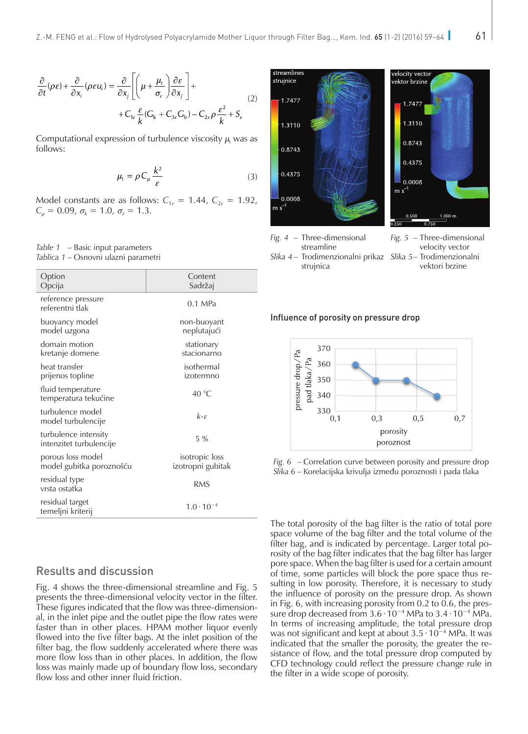$$
\frac{\partial}{\partial t}(\rho \varepsilon) + \frac{\partial}{\partial x_i}(\rho \varepsilon u_i) = \frac{\partial}{\partial x_j} \left[ \left( \mu + \frac{\mu_t}{\sigma_{\varepsilon}} \right) \frac{\partial \varepsilon}{\partial x_j} \right] + \\ + C_{1\varepsilon} \frac{\varepsilon}{k} (G_k + C_{3\varepsilon} G_b) - C_{2\varepsilon} \rho \frac{\varepsilon^2}{k} + S_{\varepsilon}
$$
\n(2)

Computational expression of turbulence viscosity  $\mu_t$  was as follows:

$$
\mu_{t} = \rho C_{\mu} \frac{k^{2}}{\varepsilon} \tag{3}
$$

Model constants are as follows:  $C_{1\epsilon} = 1.44$ ,  $C_{2\epsilon} = 1.92$ , *C*<sub>μ</sub> = 0.09, *σ*<sub>*k*</sub> = 1.0, *σ*<sub>*ε*</sub> = 1.3.

#### *Table 1* – Basic input parameters *Tablica 1* – Osnovni ulazni parametri

| Option<br>Opcija                                | Content<br>Sadržaj                  |
|-------------------------------------------------|-------------------------------------|
| reference pressure<br>referentni tlak           | $0.1 \text{ MPa}$                   |
| buoyancy model<br>model uzgona                  | non-buoyant<br>neplutajući          |
| domain motion<br>kretanje domene                | stationary<br>stacionarno           |
| heat transfer<br>prijenos topline               | isothermal<br>izotermno             |
| fluid temperature<br>temperatura tekućine       | 40 $\degree$ C                      |
| turbulence model<br>model turbulencije          | $k-r$                               |
| turbulence intensity<br>intenzitet turbulencije | $5\%$                               |
| porous loss model<br>model gubitka poroznošću   | isotropic loss<br>izotropni gubitak |
| residual type<br>vrsta ostatka                  | <b>RMS</b>                          |
| residual target<br>temeljni kriterij            | $1.0 \cdot 10^{-4}$                 |

# Results and discussion

Fig. 4 shows the three-dimensional streamline and Fig. 5 presents the three-dimensional velocity vector in the filter. These figures indicated that the flow was three-dimensional, in the inlet pipe and the outlet pipe the flow rates were faster than in other places. HPAM mother liquor evenly flowed into the five filter bags. At the inlet position of the filter bag, the flow suddenly accelerated where there was more flow loss than in other places. In addition, the flow loss was mainly made up of boundary flow loss, secondary flow loss and other inner fluid friction.



strujnica

vektori brzine

#### Influence of porosity on pressure drop



*Fig. 6* – Correlation curve between porosity and pressure drop *Slika 6* – Korelacijska krivulja između poroznosti i pada tlaka

The total porosity of the bag filter is the ratio of total pore space volume of the bag filter and the total volume of the filter bag, and is indicated by percentage. Larger total porosity of the bag filter indicates that the bag filter has larger pore space. When the bag filter is used for a certain amount of time, some particles will block the pore space thus resulting in low porosity. Therefore, it is necessary to study the influence of porosity on the pressure drop. As shown in Fig. 6, with increasing porosity from 0.2 to 0.6, the pressure drop decreased from 3.6 ∙ 10−4 MPa to 3.4 ∙ 10−4 MPa. In terms of increasing amplitude, the total pressure drop was not significant and kept at about 3.5 ∙ 10−4 MPa. It was indicated that the smaller the porosity, the greater the resistance of flow, and the total pressure drop computed by CFD technology could reflect the pressure change rule in the filter in a wide scope of porosity.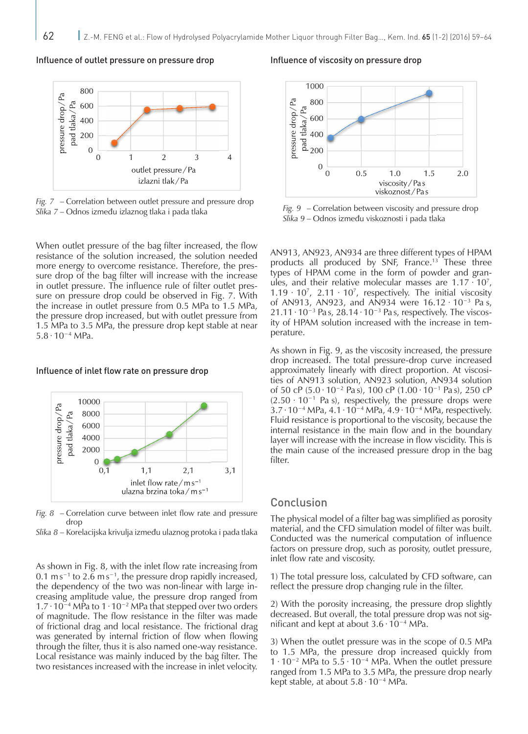#### Influence of outlet pressure on pressure drop



*Fig. 7* – Correlation between outlet pressure and pressure drop *Slika 7* – Odnos između izlaznog tlaka i pada tlaka

When outlet pressure of the bag filter increased, the flow resistance of the solution increased, the solution needed more energy to overcome resistance. Therefore, the pressure drop of the bag filter will increase with the increase in outlet pressure. The influence rule of filter outlet pressure on pressure drop could be observed in Fig. 7. With the increase in outlet pressure from 0.5 MPa to 1.5 MPa, the pressure drop increased, but with outlet pressure from 1.5 MPa to 3.5 MPa, the pressure drop kept stable at near 5.8 ∙ 10−4 MPa.

#### Influence of inlet flow rate on pressure drop



*Fig. 8* – Correlation curve between inlet flow rate and pressure drop

*Slika 8* – Korelacijska krivulja između ulaznog protoka i pada tlaka

As shown in Fig. 8, with the inlet flow rate increasing from 0.1 m s<sup> $-1$ </sup> to 2.6 m s<sup> $-1$ </sup>, the pressure drop rapidly increased, the dependency of the two was non-linear with large increasing amplitude value, the pressure drop ranged from 1.7∙10−4 MPa to 1∙10−2 MPa that stepped over two orders of magnitude. The flow resistance in the filter was made of frictional drag and local resistance. The frictional drag was generated by internal friction of flow when flowing through the filter, thus it is also named one-way resistance. Local resistance was mainly induced by the bag filter. The two resistances increased with the increase in inlet velocity.

#### Influence of viscosity on pressure drop



*Fig. 9* – Correlation between viscosity and pressure drop *Slika 9* – Odnos između viskoznosti i pada tlaka

AN913, AN923, AN934 are three different types of HPAM products all produced by SNF, France.<sup>13</sup> These three types of HPAM come in the form of powder and granules, and their relative molecular masses are  $1.17 \cdot 10^7$ ,  $1.19 \cdot 10^7$ , 2.11  $\cdot 10^7$ , respectively. The initial viscosity of AN913, AN923, and AN934 were 16.12 ∙ 10−3 Pa s, 21.11 ⋅ 10<sup>-3</sup> Pa s, 28.14 ⋅ 10<sup>-3</sup> Pa s, respectively. The viscosity of HPAM solution increased with the increase in temperature.

As shown in Fig. 9, as the viscosity increased, the pressure drop increased. The total pressure-drop curve increased approximately linearly with direct proportion. At viscosities of AN913 solution, AN923 solution, AN934 solution of 50 cP (5.0 ∙ 10−2 Pa s), 100 cP (1.00 ∙ 10−1 Pa s), 250 cP  $(2.50 \cdot 10^{-1}$  Pa s), respectively, the pressure drops were 3.7∙10−4 MPa, 4.1∙10−4 MPa, 4.9∙10−4 MPa, respectively. Fluid resistance is proportional to the viscosity, because the internal resistance in the main flow and in the boundary layer will increase with the increase in flow viscidity. This is the main cause of the increased pressure drop in the bag filter.

### Conclusion

The physical model of a filter bag was simplified as porosity material, and the CFD simulation model of filter was built. Conducted was the numerical computation of influence factors on pressure drop, such as porosity, outlet pressure, inlet flow rate and viscosity.

1) The total pressure loss, calculated by CFD software, can reflect the pressure drop changing rule in the filter.

2) With the porosity increasing, the pressure drop slightly decreased. But overall, the total pressure drop was not significant and kept at about 3.6 ∙ 10−4 MPa.

3) When the outlet pressure was in the scope of 0.5 MPa to 1.5 MPa, the pressure drop increased quickly from 1 ∙ 10−2 MPa to 5.5 ∙ 10−4 MPa. When the outlet pressure ranged from 1.5 MPa to 3.5 MPa, the pressure drop nearly kept stable, at about 5.8 ∙ 10−4 MPa.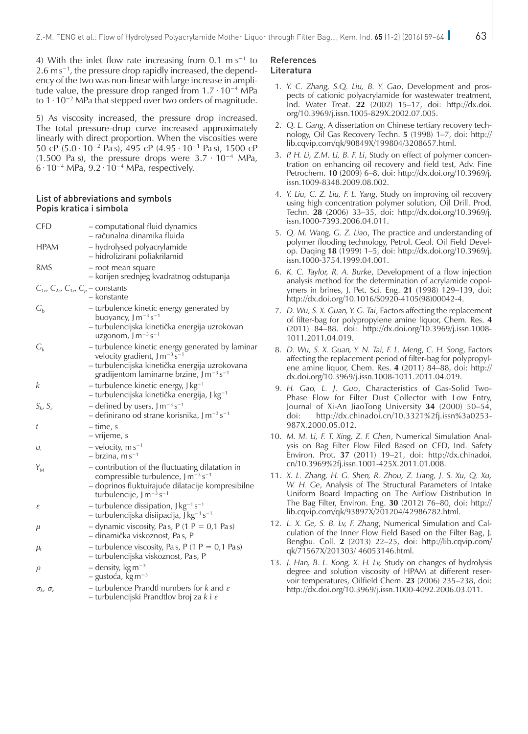4) With the inlet flow rate increasing from 0.1 m s<sup> $-1$ </sup> to 2.6 m s<sup>-1</sup>, the pressure drop rapidly increased, the dependency of the two was non-linear with large increase in amplitude value, the pressure drop ranged from 1.7 ∙ 10−4 MPa to 1 ∙ 10−2 MPa that stepped over two orders of magnitude.

5) As viscosity increased, the pressure drop increased. The total pressure-drop curve increased approximately linearly with direct proportion. When the viscosities were 50 cP (5.0 ∙ 10−2 Pa s), 495 cP (4.95 ∙ 10−1 Pa s), 1500 cP (1.500 Pa s), the pressure drops were  $3.7 \cdot 10^{-4}$  MPa, 6 ∙ 10−4 MPa, 9.2 ∙ 10−4 MPa, respectively.

#### List of abbreviations and symbols Popis kratica i simbola

| CFD                                                                         | - computational fluid dynamics<br>– računalna dinamika fluida                                                                                                                                                 |
|-----------------------------------------------------------------------------|---------------------------------------------------------------------------------------------------------------------------------------------------------------------------------------------------------------|
| <b>HPAM</b>                                                                 | - hydrolysed polyacrylamide<br>– hidrolizirani poliakrilamid                                                                                                                                                  |
| <b>RMS</b>                                                                  | - root mean square<br>– korijen srednjeg kvadratnog odstupanja                                                                                                                                                |
| $C_{1\epsilon}$ , $C_{2\epsilon}$ , $C_{3\epsilon}$ , $C_{\mu}$ – constants | - konstante                                                                                                                                                                                                   |
| $G_{b}$                                                                     | - turbulence kinetic energy generated by<br>buoyancy, J m <sup>-3</sup> s <sup>-1</sup><br>– turbulencijska kinetička energija uzrokovan<br>uzgonom, $J m^{-3} s^{-1}$                                        |
| $G_{k}$                                                                     | - turbulence kinetic energy generated by laminar<br>velocity gradient, $J m^{-3} s^{-1}$<br>- turbulencijska kinetička energija uzrokovana<br>gradijentom laminarne brzine, J m <sup>-3</sup> s <sup>-1</sup> |
| k                                                                           | - turbulence kinetic energy, J kg <sup>-1</sup><br>– turbulencijska kinetička energija, J kg <sup>-1</sup>                                                                                                    |
| $S_k$ , $S_k$                                                               | - defined by users, $J m^{-3} s^{-1}$<br>- definirano od strane korisnika, J m <sup>-3</sup> s <sup>-1</sup>                                                                                                  |
| t                                                                           | – time, s<br>– vrijeme, s                                                                                                                                                                                     |
| $U_i$                                                                       | - velocity, $\text{m s}^{-1}$<br>$-$ brzina, m s <sup>-1</sup>                                                                                                                                                |
| $Y_{M}$                                                                     | - contribution of the fluctuating dilatation in<br>compressible turbulence, J m <sup>-3</sup> s <sup>-1</sup><br>– doprinos fluktuirajuće dilatacije kompresibilne<br>turbulencije, $J m^{-3} s^{-1}$         |
| $\boldsymbol{\varepsilon}$                                                  | - turbulence dissipation, $J kg^{-1} s^{-1}$<br>- turbulencijska disiipacija, J kg <sup>-1</sup> s <sup>-1</sup>                                                                                              |
| μ                                                                           | - dynamic viscosity, Pas, P (1 P = 0,1 Pas)<br>– dinamička viskoznost, Pa s, P                                                                                                                                |
| $\mu_{\rm t}$                                                               | - turbulence viscosity, Pas, P (1 P = $0,1$ Pas)<br>– turbulencijska viskoznost, Pas, P                                                                                                                       |
| ρ                                                                           | $-$ density, kg m <sup>-3</sup><br>$-$ gustoća, kg m <sup>-3</sup>                                                                                                                                            |
| $\sigma_{k}$ , $\sigma_{\varepsilon}$                                       | – turbulence Prandtl numbers for $k$ and $\varepsilon$<br>– turbulencijski Prandtlov broj za k i $\varepsilon$                                                                                                |

#### References Literatura

- 1. *Y. C. Zhang, S.Q. Liu, B. Y. Gao*, Development and prospects of cationic polyacrylamide for wastewater treatment, Ind. Water Treat. **22** (2002) 15–17, doi: [http://dx.doi.](http://dx.doi.org/10.3969/j.issn.1005-829X.2002.07.005) [org/10.3969/j.issn.1005-829X.2002.07.005.](http://dx.doi.org/10.3969/j.issn.1005-829X.2002.07.005)
- 2. *Q. L. Gang*, A dissertation on Chinese tertiary recovery technology, Oil Gas Recovery Techn. **5** (1998) 1–7, doi: [http://](http://lib.cqvip.com/qk/90849X/199804/3208657.html) [lib.cqvip.com/qk/90849X/199804/3208657.html.](http://lib.cqvip.com/qk/90849X/199804/3208657.html)
- 3. *P. H. Li, Z.M. Li, B. F. Li*, Study on effect of polymer concentration on enhancing oil recovery and field test, Adv. Fine Petrochem. **10** (2009) 6–8, doi: [http://dx.doi.org/10.3969/j.](http://dx.doi.org/10.3969/j.issn.1009-8348.2009.08.002) [issn.1009-8348.2009.08.002.](http://dx.doi.org/10.3969/j.issn.1009-8348.2009.08.002)
- 4. *Y. Liu, C. Z. Liu, F. L. Yang*, Study on improving oil recovery using high concentration polymer solution, Oil Drill. Prod. Techn. **28** (2006) 33–35, doi: [http://dx.doi.org/10.3969/j.](http://dx.doi.org/10.3969/j.issn.1000-7393.2006.04.011) [issn.1000-7393.2006.04.011.](http://dx.doi.org/10.3969/j.issn.1000-7393.2006.04.011)
- 5. *Q. M. Wang, G. Z. Liao*, The practice and understanding of polymer flooding technology, Petrol. Geol. Oil Field Develop. Daqing **18** (1999) 1–5, doi: [http://dx.doi.org/10.3969/j.](http://dx.doi.org/10.3969/j.issn.1000-3754.1999.04.001) [issn.1000-3754.1999.04.001.](http://dx.doi.org/10.3969/j.issn.1000-3754.1999.04.001)
- 6. *K. C. Taylor, R. A. Burke*, Development of a flow injection analysis method for the determination of acrylamide copolymers in brines, J. Pet. Sci. Eng. **21** (1998) 129–139, doi: [http://dx.doi.org/10.1016/S0920-4105\(98\)00042-4.](http://dx.doi.org/10.1016/S0920-4105(98)00042-4)
- 7. *D. Wu, S. X. Guan, Y. G. Tai*, Factors affecting the replacement of filter-bag for polypropylene amine liquor, Chem. Res. **4**  (2011) 84–88. doi: [http://dx.doi.org/10.3969/j.issn.1008-](http://dx.doi.org/10.3969/j.issn.1008-1011.2011.04.019) [1011.2011.04.019](http://dx.doi.org/10.3969/j.issn.1008-1011.2011.04.019).
- 8. *D. Wu, S. X. Guan, Y. N. Tai, F. L. Meng*, *C. H. Song*, Factors affecting the replacement period of filter-bag for polypropylene amine liquor, Chem. Res. **4** (2011) 84–88, doi: [http://](http://dx.doi.org/10.3969/j.issn.1008-1011.2011.04.019) [dx.doi.org/10.3969/j.issn.1008-1011.2011.04.019](http://dx.doi.org/10.3969/j.issn.1008-1011.2011.04.019).
- 9. *H. Gao, L. J. Guo*, Characteristics of Gas-Solid Two-Phase Flow for Filter Dust Collector with Low Entry, Journal of Xi-An JiaoTong University **34** (2000) 50–54, [http://dx.chinadoi.cn/10.3321%2fj.issn%3a0253-](http://dx.chinadoi.cn/10.3321%2fj.issn%3a0253-987X.2000.05.012) [987X.2000.05.012](http://dx.chinadoi.cn/10.3321%2fj.issn%3a0253-987X.2000.05.012).
- 10. *M. M. Li, F. T. Xing, Z. F. Chen*, Numerical Simulation Analysis on Bag Filter Flow Filed Based on CFD, Ind. Safety Environ. Prot. **37** (2011) 19–21, doi: [http://dx.chinadoi.](http://dx.chinadoi.cn/10.3969%2fj.issn.1001-425X.2011.01.008) [cn/10.3969%2fj.issn.1001-425X.2011.01.008.](http://dx.chinadoi.cn/10.3969%2fj.issn.1001-425X.2011.01.008)
- 11. *X. L. Zhang, H. G. Shen, R. Zhou, Z. Liang, J. S. Xu, Q. Xu, W. H. Ge*, Analysis of The Structural Parameters of Intake Uniform Board Impacting on The Airflow Distribution In The Bag Filter, Environ. Eng. **30** (2012) 76–80, doi: [http://](http://lib.cqvip.com/qk/93897X/201204/42986782.html) [lib.cqvip.com/qk/93897X/201204/42986782.html.](http://lib.cqvip.com/qk/93897X/201204/42986782.html)
- 12. *L. X. Ge, S. B. Lv, F. Zhang*, Numerical Simulation and Calculation of the Inner Flow Field Based on the Filter Bag, J. Bengbu. Coll. **2** (2013) 22–25, doi: [http://lib.cqvip.com/](http://lib.cqvip.com/qk/71567X/201303/%2046053146.html) [qk/71567X/201303/ 46053146.html](http://lib.cqvip.com/qk/71567X/201303/%2046053146.html).
- 13. *J. Han, B. L. Kong, X. H. Lv,* Study on changes of hydrolysis degree and solution viscosity of HPAM at different reservoir temperatures, Oilfield Chem. **23** (2006) 235–238, doi: <http://dx.doi.org/10.3969/j.issn.1000-4092.2006.03.011>.